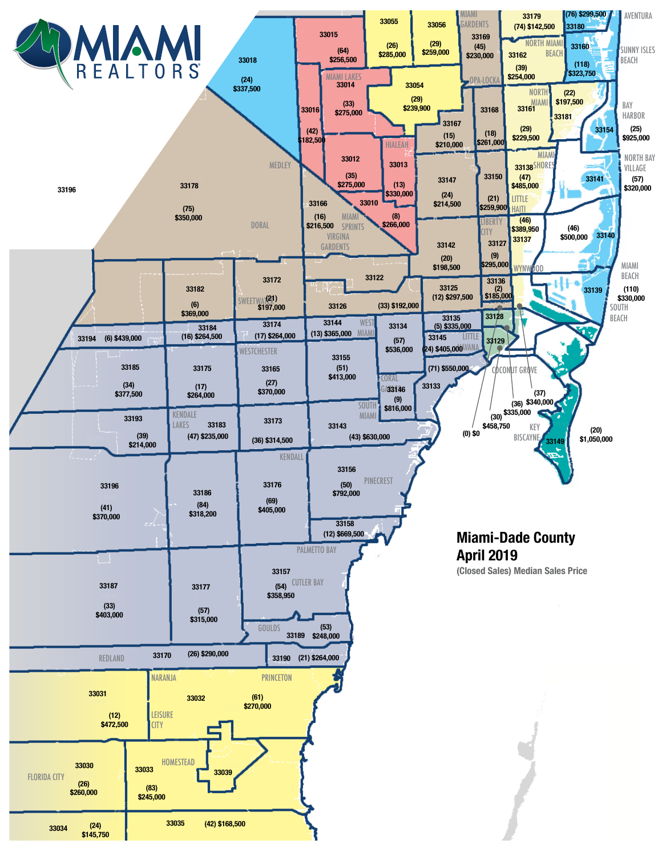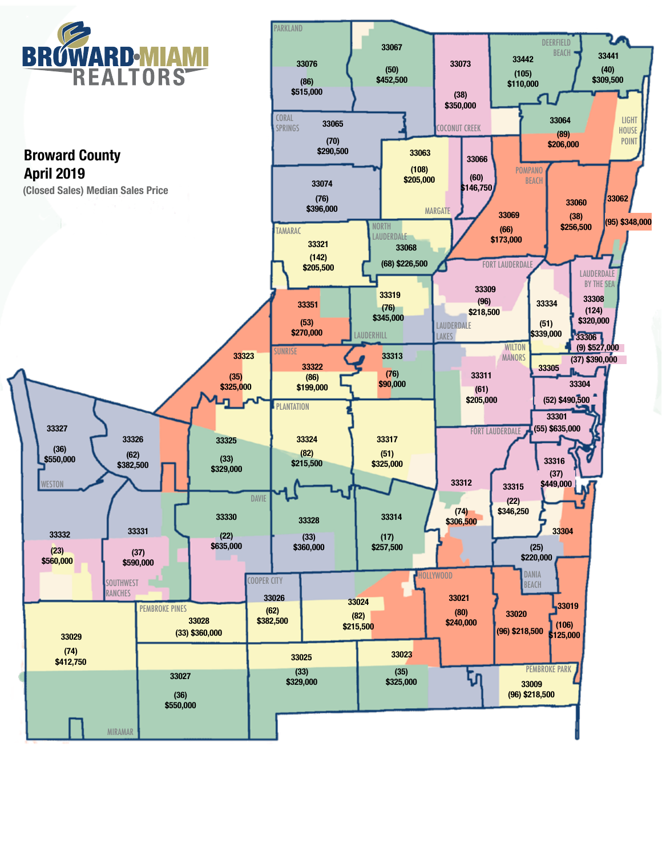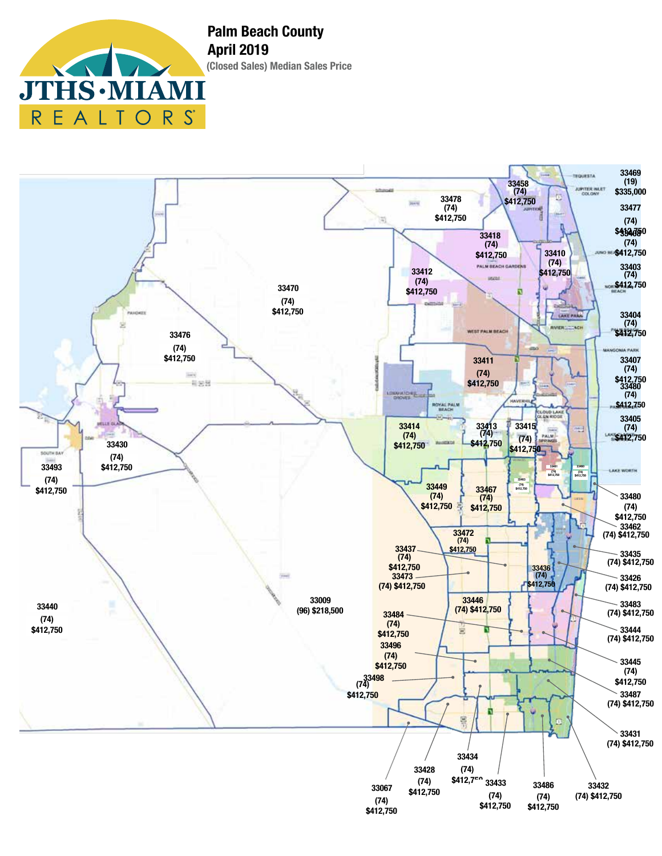**THS · M** J<sup>T</sup> REALTO R S



**(Closed Sales) Median Sales Price Palm Beach County April 2019**